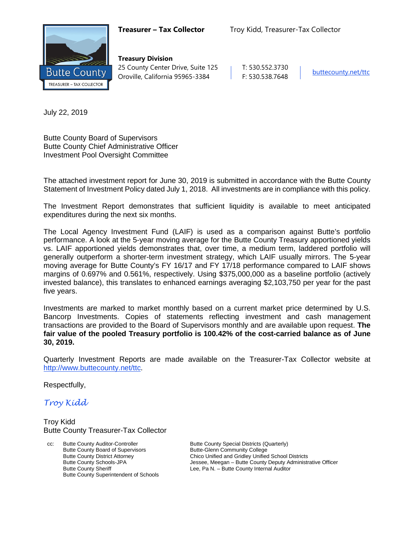

**Treasury Division** 25 County Center Drive, Suite 125 | T: 530.552.3730 Oroville, California 95965-3384 F: 530.538.7648 [buttecounty.net/t](http://www.buttecounty.net/administration)tc

July 22, 2019

Butte County Board of Supervisors Butte County Chief Administrative Officer Investment Pool Oversight Committee

The attached investment report for June 30, 2019 is submitted in accordance with the Butte County Statement of Investment Policy dated July 1, 2018. All investments are in compliance with this policy.

The Investment Report demonstrates that sufficient liquidity is available to meet anticipated expenditures during the next six months.

The Local Agency Investment Fund (LAIF) is used as a comparison against Butte's portfolio performance. A look at the 5-year moving average for the Butte County Treasury apportioned yields vs. LAIF apportioned yields demonstrates that, over time, a medium term, laddered portfolio will generally outperform a shorter-term investment strategy, which LAIF usually mirrors. The 5-year moving average for Butte County's FY 16/17 and FY 17/18 performance compared to LAIF shows margins of 0.697% and 0.561%, respectively. Using \$375,000,000 as a baseline portfolio (actively invested balance), this translates to enhanced earnings averaging \$2,103,750 per year for the past five years.

Investments are marked to market monthly based on a current market price determined by U.S. Bancorp Investments. Copies of statements reflecting investment and cash management transactions are provided to the Board of Supervisors monthly and are available upon request. **The fair value of the pooled Treasury portfolio is 100.42% of the cost-carried balance as of June 30, 2019.**

Quarterly Investment Reports are made available on the Treasurer-Tax Collector website at <http://www.buttecounty.net/ttc>.

Respectfully,

*Troy Kidd*

Troy Kidd Butte County Treasurer-Tax Collector

cc: Butte County Auditor-Controller Butte County Special Districts (Quarterly)<br>Butte County Board of Supervisors Butte-Glenn Community College Butte County Board of Supervisors Butte County Superintendent of Schools

Butte County District Attorney **Chico Unified and Gridley Unified School Districts**<br>Butte County Schools-JPA **Chicage Schools** Jessee, Meegan – Butte County Deputy Administr Butte County Schools-JPA<br>
Butte County Sheriff **Figure 18 County Administrative Officer**<br>
Lee, Pa N. – Butte County Internal Auditor Lee, Pa N. – Butte County Internal Auditor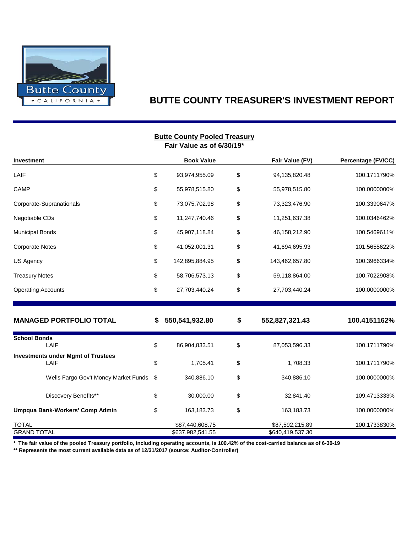

# **BUTTE COUNTY TREASURER'S INVESTMENT REPORT**

| <b>Butte County Pooled Treasury</b><br>Fair Value as of 6/30/19* |    |                                     |    |                                     |                    |  |  |  |  |  |  |
|------------------------------------------------------------------|----|-------------------------------------|----|-------------------------------------|--------------------|--|--|--|--|--|--|
| Investment                                                       |    | <b>Book Value</b>                   |    | Fair Value (FV)                     | Percentage (FV/CC) |  |  |  |  |  |  |
| LAIF                                                             | \$ | 93,974,955.09                       | \$ | 94,135,820.48                       | 100.1711790%       |  |  |  |  |  |  |
| CAMP                                                             | \$ | 55,978,515.80                       | \$ | 55,978,515.80                       | 100.0000000%       |  |  |  |  |  |  |
| Corporate-Supranationals                                         | \$ | 73,075,702.98                       | \$ | 73,323,476.90                       | 100.3390647%       |  |  |  |  |  |  |
| Negotiable CDs                                                   | \$ | 11,247,740.46                       | \$ | 11,251,637.38                       | 100.0346462%       |  |  |  |  |  |  |
| <b>Municipal Bonds</b>                                           | \$ | 45,907,118.84                       | \$ | 46,158,212.90                       | 100.5469611%       |  |  |  |  |  |  |
| <b>Corporate Notes</b>                                           | \$ | 41,052,001.31                       | \$ | 41,694,695.93                       | 101.5655622%       |  |  |  |  |  |  |
| US Agency                                                        | \$ | 142,895,884.95                      | \$ | 143,462,657.80                      | 100.3966334%       |  |  |  |  |  |  |
| <b>Treasury Notes</b>                                            | \$ | 58,706,573.13                       | \$ | 59,118,864.00                       | 100.7022908%       |  |  |  |  |  |  |
| <b>Operating Accounts</b>                                        | \$ | 27,703,440.24                       | \$ | 27,703,440.24                       | 100.0000000%       |  |  |  |  |  |  |
| <b>MANAGED PORTFOLIO TOTAL</b>                                   | S  | 550,541,932.80                      | \$ | 552,827,321.43                      | 100.4151162%       |  |  |  |  |  |  |
| <b>School Bonds</b><br>LAIF                                      | \$ | 86,904,833.51                       | \$ | 87,053,596.33                       | 100.1711790%       |  |  |  |  |  |  |
| <b>Investments under Mgmt of Trustees</b><br>LAIF                | \$ | 1,705.41                            | \$ | 1,708.33                            | 100.1711790%       |  |  |  |  |  |  |
| Wells Fargo Gov't Money Market Funds                             | \$ | 340,886.10                          | \$ | 340,886.10                          | 100.0000000%       |  |  |  |  |  |  |
| Discovery Benefits**                                             | \$ | 30,000.00                           | \$ | 32,841.40                           | 109.4713333%       |  |  |  |  |  |  |
| Umpqua Bank-Workers' Comp Admin                                  | \$ | 163,183.73                          | \$ | 163,183.73                          | 100.0000000%       |  |  |  |  |  |  |
| <b>TOTAL</b><br><b>GRAND TOTAL</b>                               |    | \$87,440,608.75<br>\$637,982,541.55 |    | \$87,592,215.89<br>\$640,419,537.30 | 100.1733830%       |  |  |  |  |  |  |

**\* The fair value of the pooled Treasury portfolio, including operating accounts, is 100.42% of the cost-carried balance as of 6-30-19**

**\*\* Represents the most current available data as of 12/31/2017 (source: Auditor-Controller)**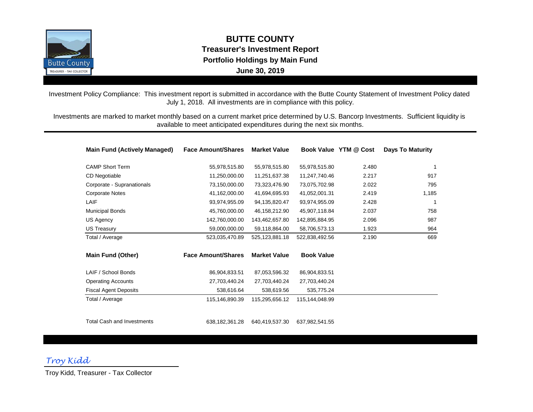

**BUTTE COUNTY Treasurer's Investment Report Portfolio Holdings by Main Fund June 30, 2019**

Investment Policy Compliance: This investment report is submitted in accordance with the Butte County Statement of Investment Policy dated July 1, 2018. All investments are in compliance with this policy.

Investments are marked to market monthly based on a current market price determined by U.S. Bancorp Investments. Sufficient liquidity is available to meet anticipated expenditures during the next six months.

| <b>Main Fund (Actively Managed)</b> | <b>Face Amount/Shares</b> | <b>Market Value</b> |                   | Book Value YTM @ Cost | <b>Days To Maturity</b> |
|-------------------------------------|---------------------------|---------------------|-------------------|-----------------------|-------------------------|
| <b>CAMP Short Term</b>              | 55,978,515.80             | 55,978,515.80       | 55,978,515.80     | 2.480                 | 1                       |
| <b>CD Negotiable</b>                | 11,250,000.00             | 11,251,637.38       | 11,247,740.46     | 2.217                 | 917                     |
| Corporate - Supranationals          | 73,150,000.00             | 73,323,476.90       | 73,075,702.98     | 2.022                 | 795                     |
| <b>Corporate Notes</b>              | 41,162,000.00             | 41,694,695.93       | 41,052,001.31     | 2.419                 | 1,185                   |
| LAIF                                | 93,974,955.09             | 94,135,820.47       | 93,974,955.09     | 2.428                 | 1                       |
| <b>Municipal Bonds</b>              | 45,760,000.00             | 46,158,212.90       | 45,907,118.84     | 2.037                 | 758                     |
| US Agency                           | 142,760,000.00            | 143,462,657.80      | 142,895,884.95    | 2.096                 | 987                     |
| <b>US Treasury</b>                  | 59,000,000.00             | 59,118,864.00       | 58,706,573.13     | 1.923                 | 964                     |
| Total / Average                     | 523,035,470.89            | 525,123,881.18      | 522,838,492.56    | 2.190                 | 669                     |
| <b>Main Fund (Other)</b>            | <b>Face Amount/Shares</b> | <b>Market Value</b> | <b>Book Value</b> |                       |                         |
| LAIF / School Bonds                 | 86,904,833.51             | 87.053.596.32       | 86,904,833.51     |                       |                         |
| <b>Operating Accounts</b>           | 27,703,440.24             | 27,703,440.24       | 27,703,440.24     |                       |                         |
| <b>Fiscal Agent Deposits</b>        | 538,616.64                | 538,619.56          | 535,775.24        |                       |                         |
| Total / Average                     | 115,146,890.39            | 115,295,656.12      | 115.144.048.99    |                       |                         |
| <b>Total Cash and Investments</b>   |                           |                     |                   |                       |                         |
|                                     | 638, 182, 361. 28         | 640,419,537.30      | 637,982,541.55    |                       |                         |

*Troy Kidd*

Troy Kidd, Treasurer - Tax Collector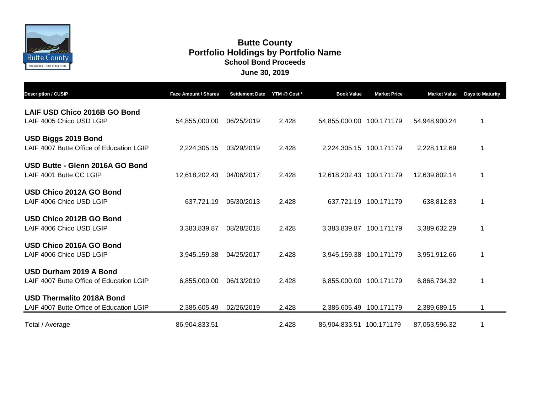

# **June 30, 2019 Butte County School Bond Proceeds Portfolio Holdings by Portfolio Name**

| <b>Description / CUSIP</b>                                                   | <b>Face Amount / Shares</b> | <b>Settlement Date</b> | YTM @ Cost * | <b>Book Value</b>        | <b>Market Price</b>   | <b>Market Value</b> | <b>Days to Maturity</b> |
|------------------------------------------------------------------------------|-----------------------------|------------------------|--------------|--------------------------|-----------------------|---------------------|-------------------------|
| LAIF USD Chico 2016B GO Bond<br>LAIF 4005 Chico USD LGIP                     | 54,855,000.00               | 06/25/2019             | 2.428        | 54,855,000.00 100.171179 |                       | 54,948,900.24       | 1                       |
| USD Biggs 2019 Bond<br>LAIF 4007 Butte Office of Education LGIP              | 2,224,305.15                | 03/29/2019             | 2.428        | 2,224,305.15 100.171179  |                       | 2,228,112.69        |                         |
| USD Butte - Glenn 2016A GO Bond<br>LAIF 4001 Butte CC LGIP                   | 12,618,202.43               | 04/06/2017             | 2.428        | 12,618,202.43 100.171179 |                       | 12,639,802.14       | 1                       |
| USD Chico 2012A GO Bond<br>LAIF 4006 Chico USD LGIP                          | 637,721.19                  | 05/30/2013             | 2.428        |                          | 637,721.19 100.171179 | 638,812.83          | 1                       |
| USD Chico 2012B GO Bond<br>LAIF 4006 Chico USD LGIP                          | 3,383,839.87                | 08/28/2018             | 2.428        | 3,383,839.87 100.171179  |                       | 3,389,632.29        |                         |
| USD Chico 2016A GO Bond<br>LAIF 4006 Chico USD LGIP                          | 3,945,159.38                | 04/25/2017             | 2.428        | 3,945,159.38 100.171179  |                       | 3,951,912.66        | $\mathbf{1}$            |
| USD Durham 2019 A Bond<br>LAIF 4007 Butte Office of Education LGIP           | 6,855,000.00                | 06/13/2019             | 2.428        | 6,855,000.00 100.171179  |                       | 6,866,734.32        | 1                       |
| <b>USD Thermalito 2018A Bond</b><br>LAIF 4007 Butte Office of Education LGIP | 2,385,605.49                | 02/26/2019             | 2.428        | 2,385,605.49             | 100.171179            | 2,389,689.15        |                         |
| Total / Average                                                              | 86,904,833.51               |                        | 2.428        | 86,904,833.51 100.171179 |                       | 87,053,596.32       |                         |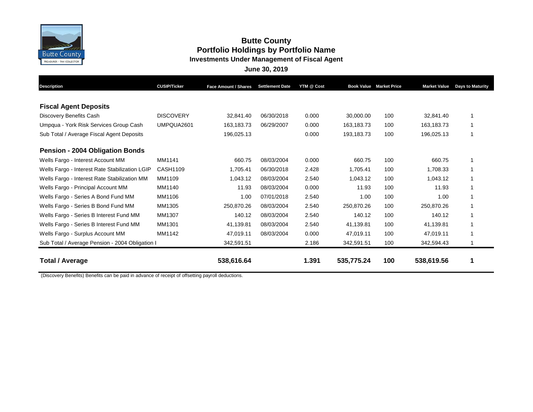

## **Butte County Portfolio Holdings by Portfolio Name Investments Under Management of Fiscal Agent**

**June 30, 2019**

| <b>Description</b>                              | <b>CUSIP/Ticker</b> | <b>Face Amount / Shares</b> | <b>Settlement Date</b> | YTM @ Cost |            | <b>Book Value Market Price</b> | <b>Market Value</b> | <b>Days to Maturity</b> |
|-------------------------------------------------|---------------------|-----------------------------|------------------------|------------|------------|--------------------------------|---------------------|-------------------------|
| <b>Fiscal Agent Deposits</b>                    |                     |                             |                        |            |            |                                |                     |                         |
| Discovery Benefits Cash                         | <b>DISCOVERY</b>    | 32.841.40                   | 06/30/2018             | 0.000      | 30,000.00  | 100                            | 32.841.40           |                         |
| Umpqua - York Risk Services Group Cash          | UMPQUA2601          | 163,183.73                  | 06/29/2007             | 0.000      | 163.183.73 | 100                            | 163,183.73          |                         |
| Sub Total / Average Fiscal Agent Deposits       |                     | 196,025.13                  |                        | 0.000      | 193,183.73 | 100                            | 196,025.13          |                         |
| <b>Pension - 2004 Obligation Bonds</b>          |                     |                             |                        |            |            |                                |                     |                         |
| Wells Fargo - Interest Account MM               | MM1141              | 660.75                      | 08/03/2004             | 0.000      | 660.75     | 100                            | 660.75              |                         |
| Wells Fargo - Interest Rate Stabilization LGIP  | CASH1109            | 1,705.41                    | 06/30/2018             | 2.428      | 1.705.41   | 100                            | 1,708.33            |                         |
| Wells Fargo - Interest Rate Stabilization MM    | MM1109              | 1,043.12                    | 08/03/2004             | 2.540      | 1,043.12   | 100                            | 1,043.12            |                         |
| Wells Fargo - Principal Account MM              | MM1140              | 11.93                       | 08/03/2004             | 0.000      | 11.93      | 100                            | 11.93               |                         |
| Wells Fargo - Series A Bond Fund MM             | MM1106              | 1.00                        | 07/01/2018             | 2.540      | 1.00       | 100                            | 1.00                |                         |
| Wells Fargo - Series B Bond Fund MM             | MM1305              | 250,870.26                  | 08/03/2004             | 2.540      | 250,870.26 | 100                            | 250,870.26          |                         |
| Wells Fargo - Series B Interest Fund MM         | MM1307              | 140.12                      | 08/03/2004             | 2.540      | 140.12     | 100                            | 140.12              |                         |
| Wells Fargo - Series B Interest Fund MM         | MM1301              | 41,139.81                   | 08/03/2004             | 2.540      | 41,139.81  | 100                            | 41,139.81           |                         |
| Wells Fargo - Surplus Account MM                | MM1142              | 47,019.11                   | 08/03/2004             | 0.000      | 47,019.11  | 100                            | 47,019.11           |                         |
| Sub Total / Average Pension - 2004 Obligation I |                     | 342,591.51                  |                        | 2.186      | 342,591.51 | 100                            | 342,594.43          |                         |
| <b>Total / Average</b>                          |                     | 538,616.64                  |                        | 1.391      | 535,775.24 | 100                            | 538,619.56          |                         |

(Discovery Benefits) Benefits can be paid in advance of receipt of offsetting payroll deductions.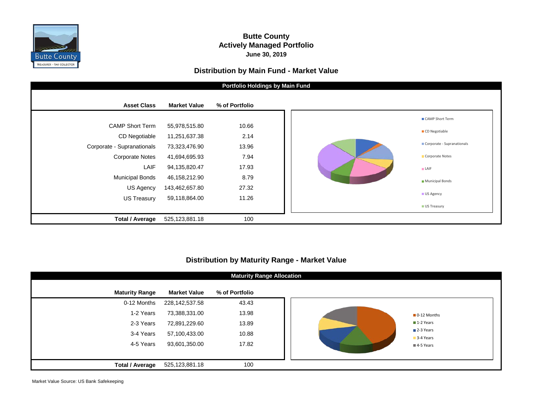

### **Butte County Actively Managed Portfolio June 30, 2019**

#### **Distribution by Main Fund - Market Value**



### **Distribution by Maturity Range - Market Value**

| <b>Maturity Range Allocation</b> |                     |                |  |  |  |  |  |  |  |
|----------------------------------|---------------------|----------------|--|--|--|--|--|--|--|
| <b>Maturity Range</b>            | <b>Market Value</b> | % of Portfolio |  |  |  |  |  |  |  |
| 0-12 Months                      | 228,142,537.58      | 43.43          |  |  |  |  |  |  |  |
| 1-2 Years                        | 73,388,331.00       | 13.98          |  |  |  |  |  |  |  |
| 2-3 Years                        | 72,891,229.60       | 13.89          |  |  |  |  |  |  |  |
| 3-4 Years                        | 57,100,433.00       | 10.88          |  |  |  |  |  |  |  |
| 4-5 Years                        | 93,601,350.00       | 17.82          |  |  |  |  |  |  |  |
|                                  |                     |                |  |  |  |  |  |  |  |
| <b>Total / Average</b>           | 525,123,881.18      | 100            |  |  |  |  |  |  |  |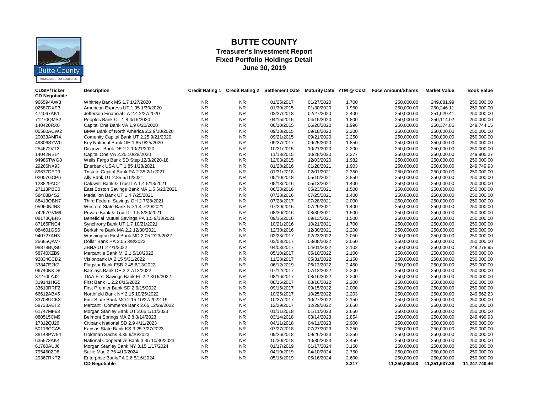

# **BUTTE COUNTY**

#### **Treasurer's Investment Report Fixed Portfolio Holdings Detail June 30, 2019**

| <b>CUSIP/Ticker</b>  | <b>Description</b>                         |           |           | Credit Rating 1 Credit Rating 2 Settlement Date Maturity Date YTM @ Cost |            |       | <b>Face Amount/Shares</b> | <b>Market Value</b> | <b>Book Value</b> |
|----------------------|--------------------------------------------|-----------|-----------|--------------------------------------------------------------------------|------------|-------|---------------------------|---------------------|-------------------|
| <b>CD Negotiable</b> |                                            |           |           |                                                                          |            |       |                           |                     |                   |
| 966594AW3            | Whitney Bank MS 1.7 1/27/2020              | <b>NR</b> | <b>NR</b> | 01/25/2017                                                               | 01/27/2020 | 1.700 | 250.000.00                | 249.881.99          | 250,000.00        |
| 02587DXE3            | American Express UT 1.95 1/30/2020         | <b>NR</b> | <b>NR</b> | 01/30/2015                                                               | 01/30/2020 | 1.950 | 250.000.00                | 250.246.11          | 250,000.00        |
| 474067AK1            | Jefferson Financial LA 2.4 2/27/2020       | <b>NR</b> | <b>NR</b> | 02/27/2018                                                               | 02/27/2020 | 2.400 | 250,000.00                | 251,020.41          | 250,000.00        |
| 71270QMS2            | Peoples Bank CT 1.8 4/15/2020              | <b>NR</b> | <b>NR</b> | 04/15/2015                                                               | 04/15/2020 | 1.800 | 250,000.00                | 250,114.02          | 250,000.00        |
| 140420RX0            | Capital One Bank VA 1.9 6/20/2020          | <b>NR</b> | <b>NR</b> | 06/10/2015                                                               | 06/20/2020 | 1.996 | 250,000.00                | 250,374.85          | 249,744.15        |
| 05580ACW2            | BMW Bank of North America 2.2 9/18/2020    | <b>NR</b> | <b>NR</b> | 09/18/2015                                                               | 09/18/2020 | 2.200 | 250,000.00                | 250,000.00          | 250,000.00        |
| 20033AMR4            | Comenity Capital Bank UT 2.25 9/21/2020    | <b>NR</b> | <b>NR</b> | 09/21/2015                                                               | 09/21/2020 | 2.250 | 250,000.00                | 250,000.00          | 250,000.00        |
| 49306SYW0            | Key National Bank OH 1.85 9/25/2020        | <b>NR</b> | <b>NR</b> | 09/27/2017                                                               | 09/25/2020 | 1.850 | 250,000.00                | 250,000.00          | 250,000.00        |
| 254672VT2            | Discover Bank DE 2.2 10/21/2020            | <b>NR</b> | <b>NR</b> | 10/21/2015                                                               | 10/21/2020 | 2.200 | 250,000.00                | 250,000.00          | 250,000.00        |
| 14042RBL4            | Capital One VA 2.25 10/28/2020             | <b>NR</b> | <b>NR</b> | 11/13/2015                                                               | 10/28/2020 | 2.277 | 250,000.00                | 250,000.00          | 249,905.27        |
| 94986TWG8            | Wells Fargo Bank SD Step 12/3/2020-18      | <b>NR</b> | <b>NR</b> | 12/03/2015                                                               | 12/03/2020 | 1.982 | 250,000.00                | 250,000.00          | 250,000.00        |
| 29266NX93            | Enerbank USA UT 1.85 1/28/2021             | <b>NR</b> | <b>NR</b> | 01/28/2016                                                               | 01/28/2021 | 1.903 | 250,000.00                | 250,000.00          | 249,749.93        |
| 89677DET9            | Tristate Capital Bank PA 2.35 2/1/2021     | <b>NR</b> | <b>NR</b> | 01/31/2018                                                               | 02/01/2021 | 2.350 | 250,000.00                | 250,000.00          | 250,000.00        |
| 02007GCP6            | Ally Bank UT 2.85 5/10/2021                | <b>NR</b> | <b>NR</b> | 05/10/2018                                                               | 05/10/2021 | 2.850 | 250,000.00                | 250,000.00          | 250,000.00        |
| 128829AC2            | Caldwell Bank & Trust LA 1.4 5/13/2021     | <b>NR</b> | <b>NR</b> | 05/13/2016                                                               | 05/13/2021 | 1.400 | 250,000.00                | 250,000.00          | 250,000.00        |
| 27113PBE0            | East Boston Savings Bank MA 1.5 5/23/2021  | <b>NR</b> | <b>NR</b> | 06/23/2016                                                               | 05/23/2021 | 1.500 | 250,000.00                | 250,000.00          | 250,000.00        |
| 58403B4S2            | Medallion Bank UT 1.4 7/25/2021            | <b>NR</b> | <b>NR</b> | 07/28/2016                                                               | 07/25/2021 | 1.400 | 250,000.00                | 250,000.00          | 250,000.00        |
| 88413QBN7            | Third Federal Savings OH 2 7/28/2021       | <b>NR</b> | <b>NR</b> | 07/28/2017                                                               | 07/28/2021 | 2.000 | 250,000.00                | 250,000.00          | 250,000.00        |
| 95960NJN8            | Western State Bank ND 1.4 7/29/2021        | <b>NR</b> | <b>NR</b> | 07/29/2016                                                               | 07/29/2021 | 1.400 | 250,000.00                | 250,000.00          | 250,000.00        |
| 74267GVM6            | Private Bank & Trust IL 1.5 8/30/2021      | <b>NR</b> | <b>NR</b> | 08/30/2016                                                               | 08/30/2021 | 1.500 | 250,000.00                | 250,000.00          | 250,000.00        |
| 08173QBR6            | Beneficial Mutual Savings PA 1.5 9/13/2021 | <b>NR</b> | <b>NR</b> | 09/16/2016                                                               | 09/13/2021 | 1.500 | 250,000.00                | 250,000.00          | 250,000.00        |
| 87165FNC4            | Synchrony Bank UT 1.7 10/21/2021           | <b>NR</b> | <b>NR</b> | 10/21/2016                                                               | 10/21/2021 | 1.700 | 250,000.00                | 250,000.00          | 250,000.00        |
| 084601GS6            | Berkshire Bank MA 2.2 12/30/2021           | <b>NR</b> | <b>NR</b> | 12/30/2016                                                               | 12/30/2021 | 2.200 | 250,000.00                | 250,000.00          | 250,000.00        |
| 940727AH3            | Washington First Bank MD 2.05 2/23/2022    | <b>NR</b> | <b>NR</b> | 02/23/2017                                                               | 02/23/2022 | 2.050 | 250,000.00                | 250,000.00          | 250,000.00        |
| 25665QAV7            | Dollar Bank PA 2.05 3/8/2022               | <b>NR</b> | <b>NR</b> | 03/08/2017                                                               | 03/08/2022 | 2.050 | 250,000.00                | 250,000.00          | 250,000.00        |
| 98878BQS0            | ZBNA UT 2 4/1/2022                         | <b>NR</b> | <b>NR</b> | 04/03/2017                                                               | 04/01/2022 | 2.102 | 250,000.00                | 250,000.00          | 249,278.95        |
| 58740XZB9            | Mercantile Bank MI 2.1 5/10/2022           | <b>NR</b> | <b>NR</b> | 05/10/2017                                                               | 05/10/2022 | 2.100 | 250,000.00                | 250,000.00          | 250,000.00        |
| 92834CCD2            | Visionbank IA 2.15 5/31/2022               | <b>NR</b> | <b>NR</b> | 11/28/2017                                                               | 05/31/2022 | 2.150 | 250,000.00                | 250,000.00          | 250,000.00        |
| 33847E2K2            | Flagstar Bank FSB 2.45 6/13/2022           | <b>NR</b> | <b>NR</b> | 06/12/2019                                                               | 06/13/2022 | 2.450 | 250,000.00                | 250,000.00          | 250,000.00        |
| 06740KKD8            | Barclays Bank DE 2.2 7/12/2022             | <b>NR</b> | <b>NR</b> | 07/12/2017                                                               | 07/12/2022 | 2.200 | 250,000.00                | 250,000.00          | 250,000.00        |
| 87270LAJ2            | TIAA First Savings Bank FL 2.2 8/16/2022   | <b>NR</b> | <b>NR</b> | 08/16/2017                                                               | 08/16/2022 | 2.200 | 250.000.00                | 250.000.00          | 250,000.00        |
| 319141HG5            | First Bank IL 2.2 8/16/2022                | <b>NR</b> | <b>NR</b> | 08/16/2017                                                               | 08/16/2022 | 2.200 | 250,000.00                | 250,000.00          | 250,000.00        |
| 33610RRF2            | First Premier Bank SD 2 9/15/2022          | <b>NR</b> | <b>NR</b> | 09/15/2017                                                               | 09/15/2022 | 2.000 | 250,000.00                | 250,000.00          | 250,000.00        |
| 66612ABX5            | Northfield Bank NY 2.15 10/25/2022         | <b>NR</b> | <b>NR</b> | 10/25/2017                                                               | 10/25/2022 | 2.203 | 250,000.00                | 250,000.00          | 249,562.23        |
| 33708UCK3            | First State Bank MO 2.15 10/27/2022-19     | <b>NR</b> | <b>NR</b> | 10/27/2017                                                               | 10/27/2022 | 2.150 | 250,000.00                | 250,000.00          | 250,000.00        |
| 58733AET2            | Mercantil Commerce Bank 2.65 12/29/2022    | <b>NR</b> | <b>NR</b> | 12/29/2017                                                               | 12/29/2022 | 2.650 | 250,000.00                | 250,000.00          | 250,000.00        |
| 61747MF63            | Morgan Stanley Bank UT 2.65 1/11/2023      | <b>NR</b> | <b>NR</b> | 01/11/2018                                                               | 01/11/2023 | 2.650 | 250,000.00                | 250,000.00          | 250,000.00        |
| 080515CM9            | Belmont Springs MA 2.8 3/14/2023           | <b>NR</b> | <b>NR</b> | 03/14/2018                                                               | 03/14/2023 | 2.854 | 250,000.00                | 250,000.00          | 249,499.93        |
| 17312QJ26            | Citibank National SD 2.9 4/11/2023         | <b>NR</b> | <b>NR</b> | 04/11/2018                                                               | 04/11/2023 | 2.900 | 250,000.00                | 250,000.00          | 250,000.00        |
| 50116CCA5            | Kansas State Bank KS 3.25 7/27/2023        | <b>NR</b> | <b>NR</b> | 07/27/2018                                                               | 07/27/2023 | 3.250 | 250,000.00                | 250,000.00          | 250,000.00        |
| 38148PW94            | Goldman Sachs 3.35 9/26/2023               | <b>NR</b> | <b>NR</b> | 09/26/2018                                                               | 09/26/2023 | 3.350 | 250,000.00                | 250,000.00          | 250,000.00        |
| 635573AK4            | National Cooperative Bank 3.45 10/30/2023  | <b>NR</b> | <b>NR</b> | 10/30/2018                                                               | 10/30/2023 | 3.450 | 250,000.00                | 250,000.00          | 250,000.00        |
| 61760AUJ6            | Morgan Stanley Bank NY 3.15 1/17/2024      | <b>NR</b> | <b>NR</b> | 01/17/2019                                                               | 01/17/2024 | 3.150 | 250,000.00                | 250,000.00          | 250,000.00        |
| 7954502D6            | Sallie Mae 2.75 4/10/2024                  | <b>NR</b> | <b>NR</b> | 04/10/2019                                                               | 04/10/2024 | 2.750 | 250,000.00                | 250,000.00          | 250,000.00        |
| 29367RKT2            | Enterprise Bank/PA 2.6 5/16/2024           | <b>NR</b> | <b>NR</b> | 05/16/2019                                                               | 05/16/2024 | 2.600 | 250,000.00                | 250,000.00          | 250,000.00        |
|                      | <b>CD Negotiable</b>                       |           |           |                                                                          |            | 2.217 | 11,250,000.00             | 11,251,637.38       | 11,247,740.46     |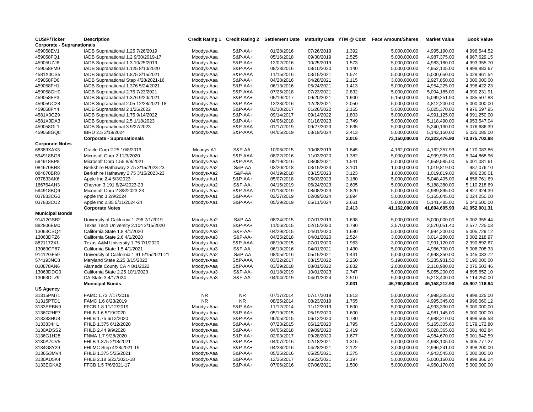| <b>CUSIP/Ticker</b>               | <b>Description</b>                         | <b>Credit Rating 1</b> |                    | <b>Credit Rating 2 Settlement Date</b> | Maturity Date YTM @ Cost |       | <b>Face Amount/Shares</b> | <b>Market Value</b> | <b>Book Value</b> |
|-----------------------------------|--------------------------------------------|------------------------|--------------------|----------------------------------------|--------------------------|-------|---------------------------|---------------------|-------------------|
| <b>Corporate - Supranationals</b> |                                            |                        |                    |                                        |                          |       |                           |                     |                   |
| 459058EV1                         | IADB Supranational 1.25 7/26/2019          | Moodys-Aaa             | S&P-AA+            | 01/28/2016                             | 07/26/2019               | 1.392 | 5,000,000.00              | 4,995,190.00        | 4,996,544.52      |
| 459058FQ1                         | IADB Supranational 1.2 9/30/2019-17        | Moodys-Aaa             | S&P-AA+            | 05/16/2018                             | 09/30/2019               | 2.525 | 5,000,000.00              | 4,987,375.00        | 4,967,629.15      |
| 45905UZJ6                         | IADB Supranational 1.3 10/25/2019          | Moodys-Aaa             | S&P-AA+            | 12/02/2016                             | 10/25/2019               | 1.573 | 5,000,000.00              | 4,983,180.00        | 4,993,355.70      |
| 459058FM0                         | IADB Supranational 1.125 8/10/2020         | Moodys-Aaa             | S&P-AA+            | 08/23/2016                             | 08/10/2020               | 1.140 | 5,000,000.00              | 4,952,105.00        | 4,998,883.67      |
| 4581X0CS5                         | IADB Supranational 1.875 3/15/2021         | Moodys-Aaa             | S&P-AAA            | 11/15/2016                             | 03/15/2021               | 1.574 | 5,000,000.00              | 5,000,650.00        | 5,028,961.54      |
| 459058FD0                         | IADB Supranational Step 4/28/2021-16       | Moodys-Aaa             | S&P-AA+            | 04/28/2016                             | 04/28/2021               | 2.115 | 3,000,000.00              | 2,927,850.00        | 3,000,000.00      |
| 459058FH1                         | IADB Supranational 1.376 5/24/2021         | Moodys-Aaa             | S&P-AA+            | 06/13/2016                             | 05/24/2021               | 1.413 | 5,000,000.00              | 4,954,225.00        | 4,996,422.23      |
| 459058GH0                         | IADB Supranational 2.75 7/23/2021          | Moodys-Aaa             | S&P-AAA            | 07/25/2018                             | 07/23/2021               | 2.832 | 5,000,000.00              | 5,094,185.00        | 4,990,231.91      |
| 459058FP3                         | IADB Supranational 1.376 9/20/2021         | Moodys-Aaa             | S&P-AA+            | 05/19/2017                             | 09/20/2021               | 1.900 | 5,150,000.00              | 5,099,251.90        | 5,085,507.88      |
| 45905UC28                         | IADB Supranational 2.05 12/28/2021-18      | Moodys-Aaa             | S&P-AA+            | 12/28/2016                             | 12/28/2021               | 2.050 | 5,000,000.00              | 4,812,200.00        | 5,000,000.00      |
| 459058FY4                         | IADB Supranational 2 1/26/2022             | Moodys-Aaa             | S&P-AA+            | 03/10/2017                             | 01/26/2022               | 2.165 | 5,000,000.00              | 5,025,370.00        | 4,976,597.95      |
| 4581X0CZ9                         | IADB Supranational 1.75 9/14/2022          | Moodys-Aaa             | S&P-AA+            | 09/14/2017                             | 09/14/2022               | 1.803 | 5,000,000.00              | 4,991,125.00        | 4,991,250.00      |
| 4581X0DA3                         | IADB Supranational 2.5 1/18/2023           | Moodys-Aaa             | S&P-AA+            | 04/06/2018                             | 01/18/2023               | 2.749 | 5,000,000.00              | 5,118,490.00        | 4,953,547.04      |
| 459058GL1                         | IADB Supranational 3 9/27/2023             | Moodys-Aaa             | S&P-AAA            | 01/17/2019                             | 09/27/2023               | 2.635 | 5,000,000.00              | 5,240,130.00        | 5,076,686.39      |
| 459058GQ0                         | IBRD 2.5 3/19/2024                         | Moodys-Aaa             | S&P-AAA            | 04/05/2019                             | 03/19/2024               | 2.413 | 5,000,000.00              | 5,142,150.00        | 5,020,085.00      |
|                                   | <b>Corporate - Supranationals</b>          |                        |                    |                                        |                          | 2.016 | 73,150,000.00             | 73,323,476.90       | 73,075,702.98     |
| <b>Corporate Notes</b>            |                                            |                        |                    |                                        |                          |       |                           |                     |                   |
| 68389XAX3                         | Oracle Corp 2.25 10/8/2019                 | Moodys-A1              | S&P-AA-            | 10/06/2015                             | 10/08/2019               | 1.845 | 4,162,000.00              | 4,162,357.93        | 4,170,083.86      |
| 594918BG8                         | Microsoft Corp 2 11/3/2020                 | Moodys-Aaa             | S&P-AAA            | 08/22/2016                             | 11/03/2020               | 1.382 | 5,000,000.00              | 4,999,905.00        | 5,044,868.96      |
| 594918BP8                         | Microsoft Corp 1.55 8/8/2021               | Moodys-Aaa             | S&P-AAA            | 08/19/2016                             | 08/08/2021               | 1.541 | 5,000,000.00              | 4,959,585.00        | 5,001,081.61      |
| 084670BR8                         | Berkshire Hathaway 2.75 3/15/2023-23       | Moodys-Aa2             | S&P-AA             | 03/20/2018                             | 03/15/2023               | 3.101 | 1,000,000.00              | 1,019,819.00        | 987,076.10        |
| 084670BR8                         | Berkshire Hathaway 2.75 3/15/2023-23       | Moodys-Aa2             | S&P-AA             | 04/19/2018                             | 03/15/2023               | 3.123 | 1,000,000.00              | 1,019,819.00        | 986,236.01        |
| 037833AK6                         | Apple Inc 2.4 5/3/2023                     | Moodys-Aa1             | S&P-AA+            | 05/07/2018                             | 05/03/2023               | 3.180 | 5,000,000.00              | 5,048,405.00        | 4,856,761.69      |
| 166764AH3                         | Chevron 3.191 6/24/2023-23                 | Moodys-Aa2             | S&P-AA-            | 04/15/2019                             | 06/24/2023               | 2.605 | 5,000,000.00              | 5,188,380.00        | 5,110,218.69      |
| 594918BQ6                         | Microsoft Corp 2 8/8/2023-23               | Moodys-Aaa             | S&P-AAA            | 01/18/2019                             | 08/08/2023               | 2.820 | 5,000,000.00              | 4,989,895.00        | 4,827,924.39      |
| 037833CG3                         | Apple Inc 3 2/9/2024                       | Moodys-Aa1             | S&P-AA+            | 02/27/2019                             | 02/09/2024               | 2.894 | 5,000,000.00              | 5,165,045.00        | 5,024,250.00      |
| 037833CU2                         | Apple Inc 2.85 5/11/2024-24                | Moodys-Aa1             | S&P-AA+            | 05/29/2019                             | 05/11/2024               | 2.661 | 5,000,000.00              | 5,141,485.00        | 5,043,500.00      |
|                                   | <b>Corporate Notes</b>                     |                        |                    |                                        |                          | 2.413 | 41,162,000.00             | 41,694,695.93       | 41,052,001.31     |
| <b>Municipal Bonds</b>            |                                            |                        |                    |                                        |                          |       |                           |                     |                   |
| 91412GSB2                         | University of California 1.796 7/1/2019    | Moodys-Aa2             | S&P-AA             | 08/24/2015                             | 07/01/2019               | 1.698 | 5,000,000.00              | 5,000,000.00        | 5,002,355.44      |
| 882806EM0                         | Texas Tech University 2.104 2/15/2020      | Moodys-Aa1             | S&P-AA+            | 11/06/2015                             | 02/15/2020               | 1.790 | 2,570,000.00              | 2,570,051.40        | 2,577,725.03      |
| 13063CSQ4                         | California State 1.8 4/1/2020              | Moodys-Aa3             | S&P-AA-            | 04/29/2015                             | 04/01/2020               | 1.680 | 5,000,000.00              | 4,994,200.00        | 5,005,729.12      |
| 13063DFZ6                         | California State 2.6 4/1/2020              | Moodys-Aa3             | S&P-AA-            | 04/25/2018                             | 04/01/2020               | 2.524 | 3,000,000.00              | 3,014,280.00        | 3,002,218.97      |
| 8821172X1                         | Texas A&M University 1.75 7/1/2020         | Moodys-Aaa             | S&P-AAA            | 08/10/2015                             | 07/01/2020               | 1.963 | 3,000,000.00              | 2,991,120.00        | 2,990,892.67      |
| 13063CP87                         | California State 1.5 4/1/2021              | Moodys-Aa3             | S&P-AA-            | 06/13/2016                             | 04/01/2021               | 1.430 | 5,000,000.00              | 4,966,700.00        | 5,006,708.33      |
| 91412GF59                         | University of California 1.91 5/15/2021-21 | Moodys-Aa2             | S&P-AA             | 08/05/2016                             | 05/15/2021               | 1.441 | 5,000,000.00              | 4,998,350.00        | 5,045,083.72      |
| 574193NC8                         | Maryland State 2.25 3/15/2022              | Moodys-Aaa             | S&P-AAA            | 03/22/2017                             | 03/15/2022               | 2.250 | 5,190,000.00              | 5,235,931.50        | 5,190,000.00      |
| 010878AN6                         | Alameda County CA 4 8/1/2022               | Moodys-Aaa             | S&P-AAA            | 03/29/2018                             | 08/01/2022               | 2.832 | 2,000,000.00              | 2,118,980.00        | 2,076,503.46      |
| 13063DDG0                         | California State 2.25 10/1/2023            | Moodys-Aa3             | <b>S&amp;P-AA-</b> | 01/18/2019                             | 10/01/2023               | 2.747 | 5,000,000.00              | 5,055,200.00        | 4,895,652.10      |
| 13063DLZ9                         | CA State 3 4/1/2024                        | Moodys-Aa3             | <b>S&amp;P-AA-</b> | 04/04/2019                             | 04/01/2024               | 2.510 | 5,000,000.00              | 5,213,400.00        | 5,114,250.00      |
|                                   | <b>Municipal Bonds</b>                     |                        |                    |                                        |                          | 2.031 | 45,760,000.00             | 46,158,212.90       | 45,907,118.84     |
| US Agency                         |                                            |                        |                    |                                        |                          |       |                           |                     |                   |
| 31315PM71                         | FAMC 1.73 7/17/2019                        | <b>NR</b>              | <b>NR</b>          | 07/17/2014                             | 07/17/2019               | 1.813 | 5,000,000.00              | 4,998,325.00        | 4,998,025.00      |
| 31315PTD1                         | FAMC 1.6 8/23/2019                         | <b>NR</b>              | <b>NR</b>          | 08/25/2014                             | 08/23/2019               | 1.765 | 5,000,000.00              | 4,995,345.00        | 4,996,060.12      |
| 3133EEBN9                         | FFCB 1.8 11/12/2019                        | Moodys-Aaa             | S&P-AA+            | 11/12/2014                             | 11/12/2019               | 1.800 | 5,000,000.00              | 4,993,330.00        | 5,000,000.00      |
| 3136G2HF7                         | FHLB 1.6 5/19/2020                         | Moodys-Aaa             | S&P-AA+            | 05/19/2015                             | 05/19/2020               | 1.600 | 5,000,000.00              | 4,981,145.00        | 5,000,000.00      |
| 313383HU8                         | FHLB 1.75 6/12/2020                        | Moodys-Aaa             | S&P-AA+            | 06/05/2015                             | 06/12/2020               | 1.780 | 5,000,000.00              | 4,988,210.00        | 4,998,565.58      |
| 3133834H1                         | FHLB 1.375 6/12/2020                       | Moodys-Aaa             | S&P-AA+            | 07/23/2015                             | 06/12/2020               | 1.795 | 5,200,000.00              | 5,165,305.60        | 5,179,172.80      |
| 3130ADSS2                         | FHLB 2.44 9/9/2020                         | Moodys-Aaa             | S&P-AA+            | 04/05/2018                             | 09/09/2020               | 2.419 | 5,000,000.00              | 5,028,365.00        | 5,001,482.84      |
| 3136G1H28                         | FNMA 1.7 9/28/2020                         | Moodys-Aaa             | S&P-AA+            | 02/03/2017                             | 09/28/2020               | 1.677 | 5,000,000.00              | 4,984,670.00        | 5,001,642.59      |
| 3130A7CV5                         | FHLB 1.375 2/18/2021                       | Moodys-Aaa             | S&P-AA+            | 04/07/2016                             | 02/18/2021               | 1.315 | 5,000,000.00              | 4,963,105.00        | 5,005,777.27      |
| 3134G8Y29                         | FHLMC Step 4/28/2021-19                    | Moodys-Aaa             | S&P-AA+            | 04/28/2016                             | 04/28/2021               | 2.122 | 3,000,000.00              | 2,996,241.00        | 2,998,200.00      |
| 3136G3MV4                         | FHLB 1.375 5/25/2021                       | Moodys-Aaa             | S&P-AA+            | 05/25/2016                             | 05/25/2021               | 1.375 | 5,000,000.00              | 4,943,545.00        | 5,000,000.00      |
| 3130AD5K4                         | FHLB 2.18 6/22/2021-18                     | Moodys-Aaa             | S&P-AA+            | 12/26/2017                             | 06/22/2021               | 2.197 | 5,000,000.00              | 5,000,160.00        | 4,998,366.24      |
| 3133EGKA2                         | FFCB 1.5 7/6/2021-17                       | Moodys-Aaa             | S&P-AA+            | 07/06/2016                             | 07/06/2021               | 1.500 | 5,000,000.00              | 4,960,170.00        | 5,000,000.00      |
|                                   |                                            |                        |                    |                                        |                          |       |                           |                     |                   |